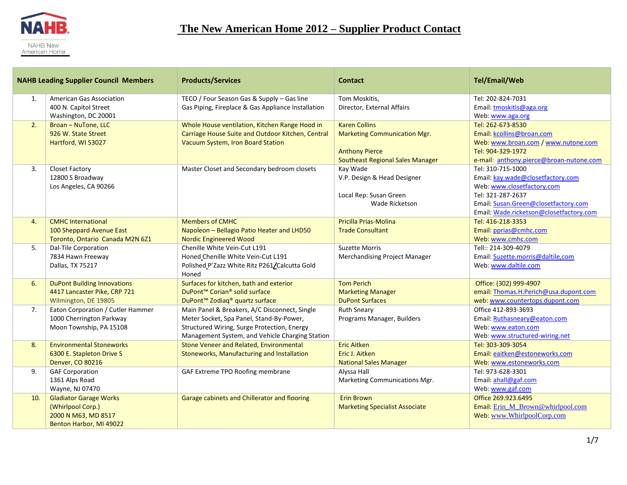

|     | <b>NAHB Leading Supplier Council Members</b>                                                         | <b>Products/Services</b>                                                                                                                                                                    | <b>Contact</b>                                                                                                           | <b>Tel/Email/Web</b>                                                                                                                                                                         |
|-----|------------------------------------------------------------------------------------------------------|---------------------------------------------------------------------------------------------------------------------------------------------------------------------------------------------|--------------------------------------------------------------------------------------------------------------------------|----------------------------------------------------------------------------------------------------------------------------------------------------------------------------------------------|
| 1.  | <b>American Gas Association</b><br>400 N. Capitol Street<br>Washington, DC 20001                     | TECO / Four Season Gas & Supply - Gas line<br>Gas Piping, Fireplace & Gas Appliance Installation                                                                                            | Tom Moskitis,<br>Director, External Affairs                                                                              | Tel: 202-824-7031<br>Email: tmoskitis@aga.org<br>Web: www.aga.org                                                                                                                            |
| 2.  | Broan - NuTone, LLC<br>926 W. State Street<br>Hartford, WI 53027                                     | Whole House ventilation, Kitchen Range Hood in<br>Carriage House Suite and Outdoor Kitchen, Central<br>Vacuum System, Iron Board Station                                                    | <b>Karen Collins</b><br><b>Marketing Communication Mgr.</b><br><b>Anthony Pierce</b><br>Southeast Regional Sales Manager | Tel: 262-673-8530<br>Email: kcollins@broan.com<br>Web: www.broan.com / www.nutone.com<br>Tel: 904-329-1972<br>e-mail: anthony.pierce@broan-nutone.com                                        |
| 3.  | <b>Closet Factory</b><br>12800 S Broadway<br>Los Angeles, CA 90266                                   | Master Closet and Secondary bedroom closets                                                                                                                                                 | Kay Wade<br>V.P. Design & Head Designer<br>Local Rep: Susan Green<br>Wade Ricketson                                      | Tel: 310-715-1000<br>Email: kay.wade@closetfactory.com<br>Web: www.closetfactory.com<br>Tel: 321-287-2637<br>Email: Susan.Green@closetfactory.com<br>Email: Wade.ricketson@closetfactory.com |
| 4.  | <b>CMHC International</b><br>100 Sheppard Avenue East<br>Toronto, Ontario Canada M2N 6Z1             | <b>Members of CMHC</b><br>Napoleon - Bellagio Patio Heater and LHD50<br><b>Nordic Engineered Wood</b>                                                                                       | Pricilla Prias-Molina<br><b>Trade Consultant</b>                                                                         | Tel: 416-218-3353<br>Email: pprias@cmhc.com<br>Web: www.cmhc.com                                                                                                                             |
| 5.  | Dal-Tile Corporation<br>7834 Hawn Freeway<br>Dallas, TX 75217                                        | Chenille White Vein-Cut L191<br>Honed Chenille White Vein-Cut L191<br>Polished P'Zazz White Ritz P261/Calcutta Gold<br>Honed                                                                | <b>Suzette Morris</b><br>Merchandising Project Manager                                                                   | Tell:: 214-309-4079<br>Email: Suzette.morris@daltile,com<br>Web: www.daltile.com                                                                                                             |
| 6.  | <b>DuPont Building Innovations</b><br>4417 Lancaster Pike, CRP 721<br>Wilmington, DE 19805           | Surfaces for kitchen, bath and exterior<br>DuPont <sup>™</sup> Corian <sup>®</sup> solid surface<br>DuPont <sup>™</sup> Zodiaq <sup>®</sup> quartz surface                                  | <b>Tom Perich</b><br><b>Marketing Manager</b><br><b>DuPont Surfaces</b>                                                  | Office: (302) 999-4907<br>email: Thomas.H.Perich@usa.dupont.com<br>web: www.countertops.dupont.com                                                                                           |
| 7.  | Eaton Corporation / Cutler Hammer<br>1000 Cherrington Parkway<br>Moon Township, PA 15108             | Main Panel & Breakers, A/C Disconnect, Single<br>Meter Socket, Spa Panel, Stand-By-Power,<br>Structured Wiring, Surge Protection, Energy<br>Management System, and Vehicle Charging Station | <b>Ruth Sneary</b><br>Programs Manager, Builders                                                                         | Office 412-893-3693<br>Email: Ruthasneary@eaton.com<br>Web: www.eaton.com<br>Web: www.structured-wiring.net                                                                                  |
| 8.  | <b>Environmental Stoneworks</b><br>6300 E. Stapleton Drive S<br>Denver, CO 80216                     | Stone Veneer and Related, Environmental<br>Stoneworks, Manufacturing and Installation                                                                                                       | <b>Eric Aitken</b><br>Eric J. Aitken<br><b>National Sales Manager</b>                                                    | Tel: 303-309-3054<br>Email: eaitken@estoneworks.com<br>Web: www.estoneworks.com                                                                                                              |
| 9.  | <b>GAF Corporation</b><br>1361 Alps Road<br>Wayne, NJ 07470                                          | GAF Extreme TPO Roofing membrane                                                                                                                                                            | Alyssa Hall<br>Marketing Communications Mgr.                                                                             | Tel: 973-628-3301<br>Email: ahall@gaf.com<br>Web: www.gaf.com                                                                                                                                |
| 10. | <b>Gladiator Garage Works</b><br>(Whirlpool Corp.)<br>2000 N M63, MD 8517<br>Benton Harbor, MI 49022 | Garage cabinets and Chillerator and flooring                                                                                                                                                | <b>Erin Brown</b><br><b>Marketing Specialist Associate</b>                                                               | Office 269.923.6495<br>Email: Erin_M_Brown@whirlpool.com<br>Web: www.WhirlpoolCorp.com                                                                                                       |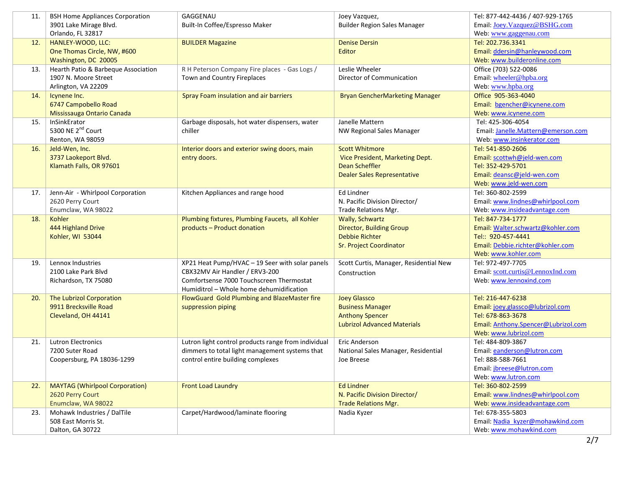| 11. | <b>BSH Home Appliances Corporation</b> | GAGGENAU                                            | Joey Vazquez,                          | Tel: 877-442-4436 / 407-929-1765    |
|-----|----------------------------------------|-----------------------------------------------------|----------------------------------------|-------------------------------------|
|     | 3901 Lake Mirage Blvd.                 | Built-In Coffee/Espresso Maker                      | <b>Builder Region Sales Manager</b>    | Email: Joey.Vazquez@BSHG.com        |
|     | Orlando, FL 32817                      |                                                     |                                        | Web: www.gaggenau.com               |
| 12. | HANLEY-WOOD, LLC:                      | <b>BUILDER Magazine</b>                             | <b>Denise Dersin</b>                   | Tel: 202.736.3341                   |
|     | One Thomas Circle, NW, #600            |                                                     | Editor                                 | Email: ddersin@hanleywood.com       |
|     | Washington, DC 20005                   |                                                     |                                        | Web: www.builderonline.com          |
| 13. | Hearth Patio & Barbeque Association    | R H Peterson Company Fire places - Gas Logs /       | Leslie Wheeler                         | Office (703) 522-0086               |
|     | 1907 N. Moore Street                   | Town and Country Fireplaces                         | Director of Communication              | Email: wheeler@hpba.org             |
|     | Arlington, VA 22209                    |                                                     |                                        | Web: www.hpba.org                   |
| 14. | Icynene Inc.                           | Spray Foam insulation and air barriers              | Bryan GencherMarketing Manager         | Office 905-363-4040                 |
|     | 6747 Campobello Road                   |                                                     |                                        | Email: bgencher@icynene.com         |
|     | Mississauga Ontario Canada             |                                                     |                                        | Web: www.icynene.com                |
| 15. | InSinkErator                           | Garbage disposals, hot water dispensers, water      | Janelle Mattern                        | Tel: 425-306-4054                   |
|     | 5300 NE 2 <sup>nd</sup> Court          | chiller                                             | NW Regional Sales Manager              | Email: Janelle.Mattern@emerson.com  |
|     | Renton, WA 98059                       |                                                     |                                        | Web: www.insinkerator.com           |
| 16. | Jeld-Wen, Inc.                         | Interior doors and exterior swing doors, main       | <b>Scott Whitmore</b>                  | Tel: 541-850-2606                   |
|     | 3737 Laokeport Blvd.                   | entry doors.                                        | Vice President, Marketing Dept.        | Email: scottwh@jeld-wen.com         |
|     | Klamath Falls, OR 97601                |                                                     | <b>Dean Scheffler</b>                  | Tel: 352-429-5701                   |
|     |                                        |                                                     | <b>Dealer Sales Representative</b>     | Email: deansc@jeld-wen.com          |
|     |                                        |                                                     |                                        | Web: www.jeld-wen.com               |
| 17. | Jenn-Air - Whirlpool Corporation       | Kitchen Appliances and range hood                   | Ed Lindner                             | Tel: 360-802-2599                   |
|     | 2620 Perry Court                       |                                                     | N. Pacific Division Director/          | Email: www.lindnes@whirlpool.com    |
|     | Enumclaw, WA 98022                     |                                                     | Trade Relations Mgr.                   | Web: www.insideadvantage.com        |
| 18. | Kohler                                 | Plumbing fixtures, Plumbing Faucets, all Kohler     | <b>Wally, Schwartz</b>                 | Tel: 847-734-1777                   |
|     | 444 Highland Drive                     | products - Product donation                         | <b>Director, Building Group</b>        | Email: Walter.schwartz@kohler.com   |
|     | Kohler, WI 53044                       |                                                     | <b>Debbie Richter</b>                  | Tel:: 920-457-4441                  |
|     |                                        |                                                     | <b>Sr. Project Coordinator</b>         | Email: Debbie.richter@kohler.com    |
|     |                                        |                                                     |                                        | Web: www.kohler.com                 |
| 19. | Lennox Industries                      | XP21 Heat Pump/HVAC - 19 Seer with solar panels     | Scott Curtis, Manager, Residential New | Tel: 972-497-7705                   |
|     | 2100 Lake Park Blvd                    | CBX32MV Air Handler / ERV3-200                      | Construction                           | Email: scott.curtis@LennoxInd.com   |
|     | Richardson, TX 75080                   | Comfortsense 7000 Touchscreen Thermostat            |                                        | Web: www.lennoxind.com              |
|     |                                        | Humiditrol - Whole home dehumidification            |                                        |                                     |
| 20. | The Lubrizol Corporation               | FlowGuard Gold Plumbing and BlazeMaster fire        | <b>Joey Glassco</b>                    | Tel: 216-447-6238                   |
|     | 9911 Brecksville Road                  | suppression piping                                  | <b>Business Manager</b>                | Email: joey.glassco@lubrizol.com    |
|     | Cleveland, OH 44141                    |                                                     | <b>Anthony Spencer</b>                 | Tel: 678-863-3678                   |
|     |                                        |                                                     | <b>Lubrizol Advanced Materials</b>     | Email: Anthony.Spencer@Lubrizol.com |
|     |                                        |                                                     |                                        | Web: www.lubrizol.com               |
| 21. | <b>Lutron Electronics</b>              | Lutron light control products range from individual | Eric Anderson                          | Tel: 484-809-3867                   |
|     | 7200 Suter Road                        | dimmers to total light management systems that      | National Sales Manager, Residential    | Email: eanderson@lutron.com         |
|     | Coopersburg, PA 18036-1299             | control entire building complexes                   | Joe Breese                             | Tel: 888-588-7661                   |
|     |                                        |                                                     |                                        | Email: <i>jbreese@lutron.com</i>    |
|     |                                        |                                                     |                                        | Web: www.lutron.com                 |
| 22. | <b>MAYTAG (Whirlpool Corporation)</b>  | <b>Front Load Laundry</b>                           | <b>Ed Lindner</b>                      | Tel: 360-802-2599                   |
|     | 2620 Perry Court                       |                                                     | N. Pacific Division Director/          | Email: www.lindnes@whirlpool.com    |
|     | Enumclaw, WA 98022                     |                                                     | <b>Trade Relations Mgr.</b>            | Web: www.insideadvantage.com        |
| 23. | Mohawk Industries / DalTile            | Carpet/Hardwood/laminate flooring                   | Nadia Kyzer                            | Tel: 678-355-5803                   |
|     | 508 East Morris St.                    |                                                     |                                        | Email: Nadia kyzer@mohawkind.com    |
|     | Dalton, GA 30722                       |                                                     |                                        | Web: www.mohawkind.com              |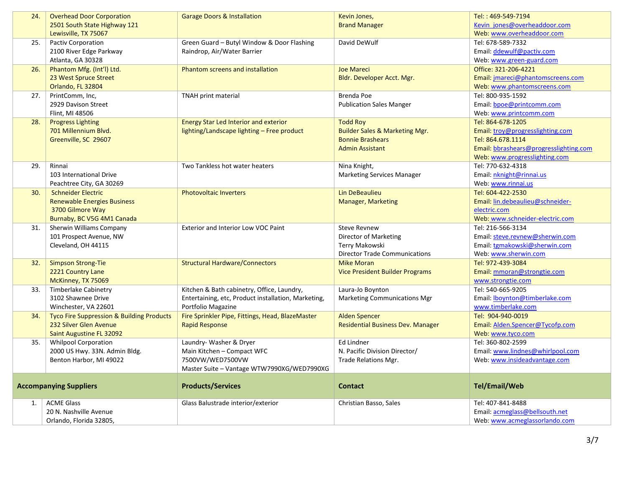| 24.                           | <b>Overhead Door Corporation</b>                     | <b>Garage Doors &amp; Installation</b>              | Kevin Jones,                              | Tel:: 469-549-7194                     |
|-------------------------------|------------------------------------------------------|-----------------------------------------------------|-------------------------------------------|----------------------------------------|
|                               | 2501 South State Highway 121                         |                                                     | <b>Brand Manager</b>                      | Kevin jones@overheaddoor.com           |
|                               | Lewisville, TX 75067                                 |                                                     |                                           | Web: www.overheaddoor.com              |
| 25.                           | <b>Pactiv Corporation</b>                            | Green Guard - Butyl Window & Door Flashing          | David DeWulf                              | Tel: 678-589-7332                      |
|                               | 2100 River Edge Parkway                              | Raindrop, Air/Water Barrier                         |                                           | Email: ddewulf@pactiv.com              |
|                               | Atlanta, GA 30328                                    |                                                     |                                           | Web: www.green-guard.com               |
| 26.                           | Phantom Mfg. (Int'l) Ltd.                            | Phantom screens and installation                    | <b>Joe Mareci</b>                         | Office: 321-206-4221                   |
|                               | 23 West Spruce Street                                |                                                     | Bldr. Developer Acct. Mgr.                | Email: jmareci@phantomscreens.com      |
|                               | Orlando, FL 32804                                    |                                                     |                                           | Web: www.phantomscreens.com            |
| 27.                           | PrintComm, Inc,                                      | <b>TNAH print material</b>                          | Brenda Poe                                | Tel: 800-935-1592                      |
|                               | 2929 Davison Street                                  |                                                     | <b>Publication Sales Manger</b>           | Email: bpoe@printcomm.com              |
|                               | Flint, MI 48506                                      |                                                     |                                           | Web: www.printcomm.com                 |
| 28.                           | <b>Progress Lighting</b>                             | <b>Energy Star Led Interior and exterior</b>        | <b>Todd Roy</b>                           | Tel: 864-678-1205                      |
|                               | 701 Millennium Blvd.                                 | lighting/Landscape lighting - Free product          | <b>Builder Sales &amp; Marketing Mgr.</b> | Email: troy@progresslighting.com       |
|                               | Greenville, SC 29607                                 |                                                     | <b>Bonnie Brashears</b>                   | Tel: 864.678.1114                      |
|                               |                                                      |                                                     | <b>Admin Assistant</b>                    | Email: bbrashears@progresslighting.com |
|                               |                                                      |                                                     |                                           | Web: www.progresslighting.com          |
| 29.                           | Rinnai                                               | Two Tankless hot water heaters                      | Nina Knight,                              | Tel: 770-632-4318                      |
|                               | 103 International Drive                              |                                                     | <b>Marketing Services Manager</b>         | Email: nknight@rinnai.us               |
|                               | Peachtree City, GA 30269                             |                                                     |                                           | Web: www.rinnai.us                     |
| 30.                           | <b>Schneider Electric</b>                            | <b>Photovoltaic Inverters</b>                       | Lin DeBeaulieu                            | Tel: 604-422-2530                      |
|                               | <b>Renewable Energies Business</b>                   |                                                     | <b>Manager, Marketing</b>                 | Email: lin.debeaulieu@schneider-       |
|                               | 3700 Gilmore Way                                     |                                                     |                                           | electric.com                           |
|                               | Burnaby, BC V5G 4M1 Canada                           |                                                     |                                           | Web: www.schneider-electric.com        |
| 31.                           | Sherwin Williams Company                             | Exterior and Interior Low VOC Paint                 | <b>Steve Revnew</b>                       | Tel: 216-566-3134                      |
|                               | 101 Prospect Avenue, NW                              |                                                     | Director of Marketing                     | Email: steve.revnew@sherwin.com        |
|                               | Cleveland, OH 44115                                  |                                                     | Terry Makowski                            | Email: tgmakowski@sherwin.com          |
|                               |                                                      |                                                     | <b>Director Trade Communications</b>      | Web: www.sherwin.com                   |
| 32.                           | <b>Simpson Strong-Tie</b>                            | <b>Structural Hardware/Connectors</b>               | <b>Mike Moran</b>                         | Tel: 972-439-3084                      |
|                               | 2221 Country Lane                                    |                                                     | Vice President Builder Programs           | Email: mmoran@strongtie.com            |
|                               | McKinney, TX 75069                                   |                                                     |                                           | www.strongtie.com                      |
| 33.                           | Timberlake Cabinetry                                 | Kitchen & Bath cabinetry, Office, Laundry,          | Laura-Jo Boynton                          | Tel: 540-665-9205                      |
|                               | 3102 Shawnee Drive                                   | Entertaining, etc, Product installation, Marketing, | Marketing Communications Mgr              | Email: lboynton@timberlake.com         |
|                               | Winchester, VA 22601                                 | Portfolio Magazine                                  |                                           | www.timberlake.com                     |
| 34.                           | <b>Tyco Fire Suppression &amp; Building Products</b> | Fire Sprinkler Pipe, Fittings, Head, BlazeMaster    | <b>Alden Spencer</b>                      | Tel: 904-940-0019                      |
|                               | 232 Silver Glen Avenue                               | <b>Rapid Response</b>                               | <b>Residential Business Dev. Manager</b>  | Email: Alden.Spencer@Tycofp.com        |
|                               | Saint Augustine FL 32092                             |                                                     |                                           | Web: www.tyco.com                      |
| 35.                           | <b>Whilpool Corporation</b>                          | Laundry- Washer & Dryer                             | Ed Lindner                                | Tel: 360-802-2599                      |
|                               | 2000 US Hwy. 33N. Admin Bldg.                        | Main Kitchen - Compact WFC                          | N. Pacific Division Director/             | Email: www.lindnes@whirlpool.com       |
|                               | Benton Harbor, MI 49022                              | 7500VW/WED7500VW                                    | Trade Relations Mgr.                      | Web: www.insideadvantage.com           |
|                               |                                                      | Master Suite - Vantage WTW7990XG/WED7990XG          |                                           |                                        |
| <b>Accompanying Suppliers</b> |                                                      | <b>Products/Services</b>                            | <b>Contact</b>                            | <b>Tel/Email/Web</b>                   |
|                               |                                                      |                                                     |                                           |                                        |
| 1.                            | <b>ACME Glass</b>                                    | Glass Balustrade interior/exterior                  | Christian Basso, Sales                    | Tel: 407-841-8488                      |
|                               | 20 N. Nashville Avenue                               |                                                     |                                           | Email: acmeglass@bellsouth.net         |
|                               | Orlando, Florida 32805,                              |                                                     |                                           | Web: www.acmeglassorlando.com          |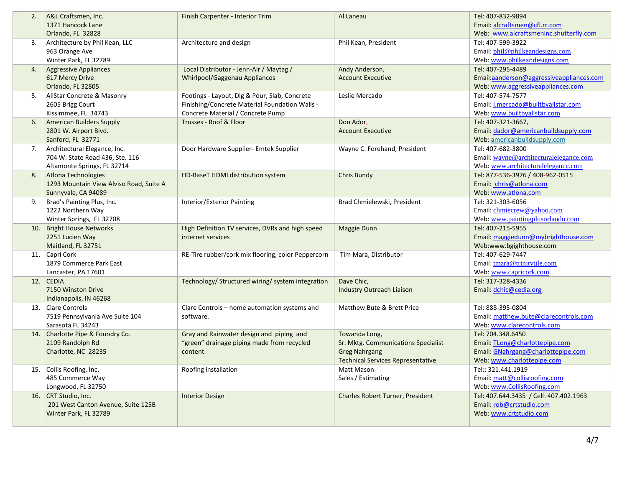| 2.  | A&L Craftsmen, Inc.                     | Finish Carpenter - Interior Trim                   | Al Laneau                                | Tel: 407-832-9894                          |
|-----|-----------------------------------------|----------------------------------------------------|------------------------------------------|--------------------------------------------|
|     | 1371 Hancock Lane                       |                                                    |                                          | Email: alcraftsmen@cfl.rr.com              |
|     | Orlando, FL 32828                       |                                                    |                                          | Web: www.alcraftsmeninc.shutterfly.com     |
| 3.  | Architecture by Phil Kean, LLC          | Architecture and design                            | Phil Kean, President                     | Tel: 407-599-3922                          |
|     | 963 Orange Ave                          |                                                    |                                          | Email: phil@philkeandesigns.com            |
|     | Winter Park, FL 32789                   |                                                    |                                          | Web: www.philkeandesigns.com               |
| 4.  | <b>Aggressive Appliances</b>            | Local Distributor - Jenn-Air / Maytag /            | Andy Anderson,                           | Tel: 407-295-4489                          |
|     | 617 Mercy Drive                         | Whirlpool/Gaggenau Appliances                      | <b>Account Executive</b>                 | Email:aanderson@aggressiveappliances.com   |
|     | Orlando, FL 32805                       |                                                    |                                          | Web: www.aggressiveappliances.com          |
| 5.  | AllStar Concrete & Masonry              | Footings - Layout, Dig & Pour, Slab, Concrete      | Leslie Mercado                           | Tel: 407-574-7577                          |
|     | 2605 Brigg Court                        | Finishing/Concrete Material Foundation Walls -     |                                          | Email: <i>I.mercado@builtbyallstar.com</i> |
|     | Kissimmee, FL 34743                     | Concrete Material / Concrete Pump                  |                                          | Web: www.builtbyallstar.com                |
| 6.  | <b>American Builders Supply</b>         | Trusses - Roof & Floor                             | Don Ador,                                | Tel: 407-321-3667,                         |
|     | 2801 W. Airport Blvd.                   |                                                    | <b>Account Executive</b>                 | Email: dador@americanbuildsupply.com       |
|     | Sanford, FL 32771                       |                                                    |                                          | Web: americanbuildsupply.com               |
| 7.  | Architectural Elegance, Inc.            | Door Hardware Supplier- Emtek Supplier             | Wayne C. Forehand, President             | Tel: 407-682-3800                          |
|     | 704 W. State Road 436, Ste. 116         |                                                    |                                          | Email: wayne@architecturalelegance.com     |
|     | Altamonte Springs, FL 32714             |                                                    |                                          | Web: www.architecturalelegance.com         |
| 8.  | <b>Atlona Technologies</b>              | HD-BaseT HDMI distribution system                  | <b>Chris Bundy</b>                       | Tel: 877-536-3976 / 408-962-0515           |
|     | 1293 Mountain View Alviso Road, Suite A |                                                    |                                          | Email: chris@atlona.com                    |
|     | Sunnyvale, CA 94089                     |                                                    |                                          | Web: www.atlona.com                        |
| 9.  | Brad's Painting Plus, Inc.              | Interior/Exterior Painting                         | Brad Chmielewski, President              | Tel: 321-303-6056                          |
|     | 1222 Northern Way                       |                                                    |                                          | Email: chmiecrew@yahoo.com                 |
|     | Winter Springs, FL 32708                |                                                    |                                          | Web: www.paintingplusorlando.com           |
| 10. | <b>Bright House Networks</b>            | High Definition TV services, DVRs and high speed   | Maggie Dunn                              | Tel: 407-215-5955                          |
|     | 2251 Lucien Way                         | internet services                                  |                                          | Email: maggiedunn@mybrighthouse.com        |
|     | Maitland, FL 32751                      |                                                    |                                          | Web:www.bgighthouse.com                    |
|     | 11. Capri Cork                          | RE-Tire rubber/cork mix flooring, color Peppercorn | Tim Mara, Distributor                    | Tel: 407-629-7447                          |
|     | 1879 Commerce Park East                 |                                                    |                                          | Email: tmara@trinitytile.com               |
|     | Lancaster, PA 17601                     |                                                    |                                          | Web: www.capricork.com                     |
| 12. | <b>CEDIA</b>                            | Technology/ Structured wiring/ system integration  | Dave Chic,                               | Tel: 317-328-4336                          |
|     | 7150 Winston Drive                      |                                                    | <b>Industry Outreach Liaison</b>         | Email: dchic@cedia.org                     |
|     | Indianapolis, IN 46268                  |                                                    |                                          |                                            |
|     | 13. Clare Controls                      | Clare Controls - home automation systems and       | Matthew Bute & Brett Price               | Tel: 888-395-0804                          |
|     | 7519 Pennsylvania Ave Suite 104         | software.                                          |                                          | Email: matthew.bute@clarecontrols.com      |
|     | Sarasota FL 34243                       |                                                    |                                          | Web: www.clarecontrols.com                 |
|     | 14. Charlotte Pipe & Foundry Co.        | Gray and Rainwater design and piping and           | Towanda Long,                            | Tel: 704.348.6450                          |
|     | 2109 Randolph Rd                        | "green" drainage piping made from recycled         | Sr. Mktg. Communications Specialist      | Email: TLong@charlottepipe.com             |
|     | Charlotte, NC 28235                     | content                                            | <b>Greg Nahrgang</b>                     | Email: GNahrgang@charlottepipe.com         |
|     |                                         |                                                    | <b>Technical Services Representative</b> | Web: www.charlottepipe.com                 |
|     | 15. Collis Roofing, Inc.                | Roofing installation                               | Matt Mason                               | Tel:: 321.441.1919                         |
|     | 485 Commerce Way                        |                                                    | Sales / Estimating                       | Email: matt@collisroofing.com              |
|     | Longwood, FL 32750                      |                                                    |                                          | Web: www.CollisRoofing.com                 |
|     | 16. CRT Studio, Inc.                    | <b>Interior Design</b>                             | <b>Charles Robert Turner, President</b>  | Tel: 407.644.3435 / Cell: 407.402.1963     |
|     | 201 West Canton Avenue, Suite 125B      |                                                    |                                          | Email: rob@crtstudio.com                   |
|     | Winter Park, FL 32789                   |                                                    |                                          | Web: www.crtstudio.com                     |
|     |                                         |                                                    |                                          |                                            |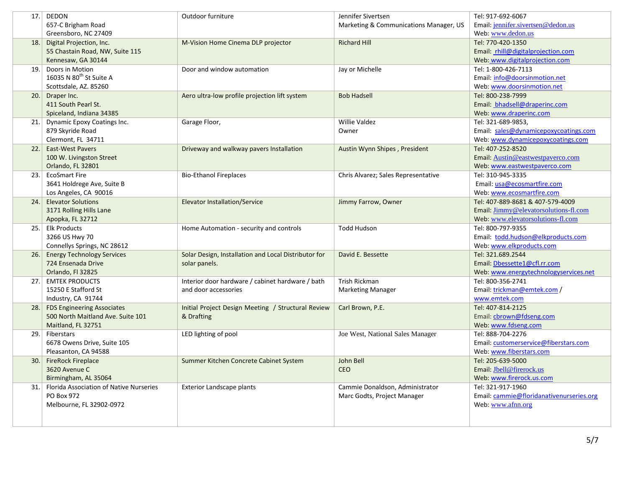| 17. | DEDON                                          | Outdoor furniture                                    | Jennifer Sivertsen                     | Tel: 917-692-6067                                 |
|-----|------------------------------------------------|------------------------------------------------------|----------------------------------------|---------------------------------------------------|
|     | 657-C Brigham Road                             |                                                      | Marketing & Communications Manager, US | Email: jennifer.sivertsen@dedon.us                |
|     | Greensboro, NC 27409                           |                                                      |                                        | Web: www.dedon.us                                 |
| 18. | Digital Projection, Inc.                       | M-Vision Home Cinema DLP projector                   | <b>Richard Hill</b>                    | Tel: 770-420-1350                                 |
|     | 55 Chastain Road, NW, Suite 115                |                                                      |                                        | Email: rhill@digitalprojection.com                |
|     | Kennesaw, GA 30144                             |                                                      |                                        | Web: www.digitalprojection.com                    |
| 19. | Doors in Motion                                | Door and window automation                           | Jay or Michelle                        | Tel: 1-800-426-7113                               |
|     | 16035 N 80 <sup>th</sup> St Suite A            |                                                      |                                        | Email: info@doorsinmotion.net                     |
|     | Scottsdale, AZ. 85260                          |                                                      |                                        | Web: www.doorsinmotion.net                        |
|     | 20. Draper Inc.                                | Aero ultra-low profile projection lift system        | <b>Bob Hadsell</b>                     | Tel: 800-238-7999                                 |
|     | 411 South Pearl St.                            |                                                      |                                        | Email: bhadsell@draperinc.com                     |
|     | Spiceland, Indiana 34385                       |                                                      |                                        | Web: www.draperinc.com                            |
| 21. | Dynamic Epoxy Coatings Inc.                    | Garage Floor,                                        | <b>Willie Valdez</b>                   | Tel: 321-689-9853,                                |
|     | 879 Skyride Road                               |                                                      | Owner                                  | Email: sales@dynamicepoxycoatings.com             |
|     | Clermont, FL 34711                             |                                                      |                                        | Web: www.dynamicepoxycoatings.com                 |
| 22. | <b>East-West Pavers</b>                        | Driveway and walkway pavers Installation             | Austin Wynn Shipes, President          | Tel: 407-252-8520                                 |
|     | 100 W. Livingston Street<br>Orlando, FL 32801  |                                                      |                                        | Email: Austin@eastwestpaverco.com                 |
|     | <b>EcoSmart Fire</b>                           |                                                      |                                        | Web: www.eastwestpaverco.com<br>Tel: 310-945-3335 |
| 23. | 3641 Holdrege Ave, Suite B                     | <b>Bio-Ethanol Fireplaces</b>                        | Chris Alvarez; Sales Representative    | Email: usa@ecosmartfire.com                       |
|     | Los Angeles, CA 90016                          |                                                      |                                        | Web: www.ecosmartfire.com                         |
| 24. | <b>Elevator Solutions</b>                      | <b>Elevator Installation/Service</b>                 | Jimmy Farrow, Owner                    | Tel: 407-889-8681 & 407-579-4009                  |
|     | 3171 Rolling Hills Lane                        |                                                      |                                        | Email: Jimmy@elevatorsolutions-fl.com             |
|     | Apopka, FL 32712                               |                                                      |                                        | Web: www.elevatorsolutions-fl.com                 |
| 25. | <b>Elk Products</b>                            | Home Automation - security and controls              | <b>Todd Hudson</b>                     | Tel: 800-797-9355                                 |
|     | 3266 US Hwy 70                                 |                                                      |                                        | Email: todd.hudson@elkproducts.com                |
|     | Connellys Springs, NC 28612                    |                                                      |                                        | Web: www.elkproducts.com                          |
| 26. | <b>Energy Technology Services</b>              | Solar Design, Installation and Local Distributor for | David E. Bessette                      | Tel: 321.689.2544                                 |
|     | 724 Ensenada Drive                             | solar panels.                                        |                                        | Email: Dbessette1@cfl.rr.com                      |
|     | Orlando, Fl 32825                              |                                                      |                                        | Web: www.energytechnologyservices.net             |
| 27. | <b>EMTEK PRODUCTS</b>                          | Interior door hardware / cabinet hardware / bath     | Trish Rickman                          | Tel: 800-356-2741                                 |
|     | 15250 E Stafford St                            | and door accessories                                 | <b>Marketing Manager</b>               | Email: trickman@emtek.com /                       |
|     | Industry, CA 91744                             |                                                      |                                        | www.emtek.com                                     |
| 28. | <b>FDS Engineering Associates</b>              | Initial Project Design Meeting / Structural Review   | Carl Brown, P.E.                       | Tel: 407-814-2125                                 |
|     | 500 North Maitland Ave. Suite 101              | & Drafting                                           |                                        | Email: cbrown@fdseng.com                          |
|     | Maitland, FL 32751                             |                                                      |                                        | Web: www.fdseng.com                               |
| 29. | Fiberstars                                     | LED lighting of pool                                 | Joe West, National Sales Manager       | Tel: 888-704-2276                                 |
|     | 6678 Owens Drive, Suite 105                    |                                                      |                                        | Email: customerservice@fiberstars.com             |
|     | Pleasanton, CA 94588                           |                                                      |                                        | Web: www.fiberstars.com                           |
| 30. | <b>FireRock Fireplace</b>                      | Summer Kitchen Concrete Cabinet System               | John Bell                              | Tel: 205-639-5000                                 |
|     | 3620 Avenue C                                  |                                                      | CEO                                    | Email: Jbell@firerock.us                          |
|     | Birmingham, AL 35064                           |                                                      |                                        | Web: www.firerock.us.com                          |
| 31. | <b>Florida Association of Native Nurseries</b> | <b>Exterior Landscape plants</b>                     | Cammie Donaldson, Administrator        | Tel: 321-917-1960                                 |
|     | PO Box 972                                     |                                                      | Marc Godts, Project Manager            | Email: cammie@floridanativenurseries.org          |
|     | Melbourne, FL 32902-0972                       |                                                      |                                        | Web: www.afnn.org                                 |
|     |                                                |                                                      |                                        |                                                   |
|     |                                                |                                                      |                                        |                                                   |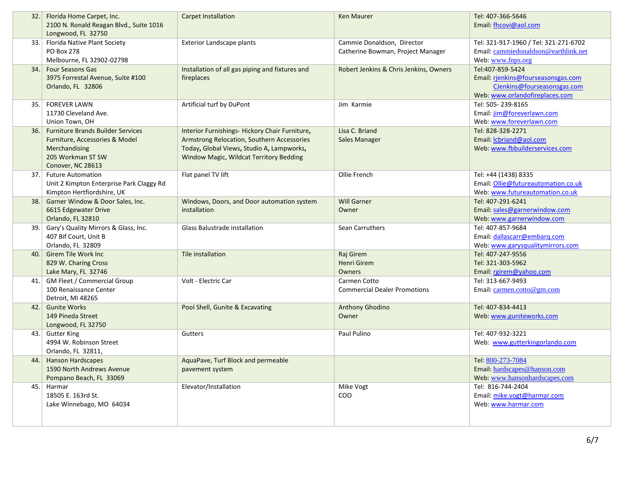| 32.1 | Florida Home Carpet, Inc.<br>2100 N. Ronald Reagan Blvd., Suite 1016<br>Longwood, FL 32750                                            | <b>Carpet Installation</b>                                                                                                                                                           | <b>Ken Maurer</b>                                               | Tel: 407-366-5646<br>Email: fhcovi@aol.com                                                                              |
|------|---------------------------------------------------------------------------------------------------------------------------------------|--------------------------------------------------------------------------------------------------------------------------------------------------------------------------------------|-----------------------------------------------------------------|-------------------------------------------------------------------------------------------------------------------------|
| 33.1 | Florida Native Plant Society<br><b>PO Box 278</b><br>Melbourne, FL 32902-02798                                                        | Exterior Landscape plants                                                                                                                                                            | Cammie Donaldson, Director<br>Catherine Bowman, Project Manager | Tel: 321-917-1960 / Tel: 321-271-6702<br>Email: cammiedonaldson@earthlink.net<br>Web: www.fnps.org                      |
| 34.1 | <b>Four Seasons Gas</b><br>3975 Forrestal Avenue, Suite #100<br>Orlando, FL 32806                                                     | Installation of all gas piping and fixtures and<br>fireplaces                                                                                                                        | Robert Jenkins & Chris Jenkins, Owners                          | Tel:407-859-5424<br>Email: rienkins@fourseasonsgas.com<br>CJenkins@fourseasonsgas.com<br>Web: www.orlandofireplaces.com |
| 35.  | <b>FOREVER LAWN</b><br>11730 Cleveland Ave.<br>Union Town, OH                                                                         | Artificial turf by DuPont                                                                                                                                                            | Jim Karmie                                                      | Tel: 505-239-8165<br>Email: jim@foreverlawn.com<br>Web: www.foreverlawn.com                                             |
| 36.  | <b>Furniture Brands Builder Services</b><br>Furniture, Accessories & Model<br>Merchandising<br>205 Workman ST SW<br>Conover, NC 28613 | Interior Furnishings- Hickory Chair Furniture,<br>Armstrong Relocation, Southern Accessories<br>Today, Global Views, Studio A, Lampworks,<br>Window Magic, Wildcat Territory Bedding | Lisa C. Briand<br><b>Sales Manager</b>                          | Tel: 828-328-2271<br>Email: <i>Icbriand@aol.com</i><br>Web: www.fbbuilderservices.com                                   |
| 37.  | <b>Future Automation</b><br>Unit 2 Kimpton Enterprise Park Claggy Rd<br>Kimpton Hertfiordshire, UK                                    | Flat panel TV lift                                                                                                                                                                   | Ollie French                                                    | Tel: +44 (1438) 8335<br>Email: Ollie@futureautomation.co.uk<br>Web: www.futureautomation.co.uk                          |
| 38.  | Garner Window & Door Sales, Inc.<br>6615 Edgewater Drive<br>Orlando, FL 32810                                                         | Windows, Doors, and Door automation system<br>installation                                                                                                                           | <b>Will Garner</b><br>Owner                                     | Tel: 407-291-6241<br>Email: sales@garnerwindow.com<br>Web: www.garnerwindow.com                                         |
| 39.  | Gary's Quality Mirrors & Glass, Inc.<br>407 Bif Court, Unit B<br>Orlando, FL 32809                                                    | Glass Balustrade installation                                                                                                                                                        | Sean Carruthers                                                 | Tel: 407-857-9684<br>Email: dallascarr@embarq.com<br>Web: www.garysqualitymirrors.com                                   |
| 40.  | <b>Girem Tile Work Inc</b><br>829 W. Charing Cross<br>Lake Mary, FL 32746                                                             | Tile installation                                                                                                                                                                    | Raj Girem<br><b>Henri Girem</b><br>Owners                       | Tel: 407-247-9556<br>Tel: 321-303-5962<br>Email: rgirem@yahoo.com                                                       |
|      | 41. GM Fleet / Commercial Group<br>100 Renaissance Center<br>Detroit, MI 48265                                                        | Volt - Electric Car                                                                                                                                                                  | Carmen Cotto<br><b>Commercial Dealer Promotions</b>             | Tel: 313-667-9493<br>Email: carmen.cotto@gm.com                                                                         |
| 42.  | <b>Gunite Works</b><br>149 Pineda Street<br>Longwood, FL 32750                                                                        | Pool Shell, Gunite & Excavating                                                                                                                                                      | Anthony Ghodino<br>Owner                                        | Tel: 407-834-4413<br>Web: www.guniteworks.com                                                                           |
|      | 43. Gutter King<br>4994 W. Robinson Street<br>Orlando, FL 32811,                                                                      | Gutters                                                                                                                                                                              | Paul Pulino                                                     | Tel: 407-932-3221<br>Web: www.gutterkingorlando.com                                                                     |
| 44.  | <b>Hanson Hardscapes</b><br>1590 North Andrews Avenue<br>Pompano Beach, FL 33069                                                      | AquaPave, Turf Block and permeable<br>pavement system                                                                                                                                |                                                                 | Tel: 800-273-7084<br>Email: hardscapes@hanson.com<br>Web: www.hansonhardscapes.com                                      |
| 45.  | Harmar<br>18505 E. 163rd St.<br>Lake Winnebago, MO 64034                                                                              | Elevator/Installation                                                                                                                                                                | Mike Vogt<br><b>COO</b>                                         | Tel: 816-744-2404<br>Email: mike.vogt@harmar.com<br>Web: www.harmar.com                                                 |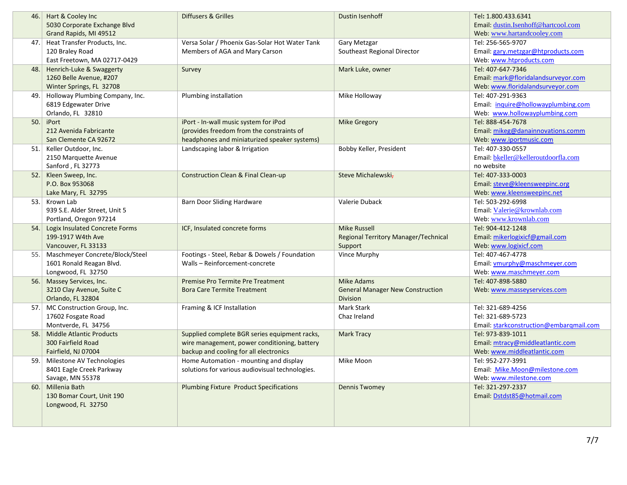|      | 46. Hart & Cooley Inc<br>5030 Corporate Exchange Blvd       | Diffusers & Grilles                                                             | <b>Dustin Isenhoff</b>                  | Tel: 1.800.433.6341<br>Email: dustin.Isenhoff@hartcool.com |
|------|-------------------------------------------------------------|---------------------------------------------------------------------------------|-----------------------------------------|------------------------------------------------------------|
|      | Grand Rapids, MI 49512                                      |                                                                                 |                                         | Web: www.hartandcooley.com                                 |
| 47.1 | Heat Transfer Products, Inc.                                | Versa Solar / Phoenix Gas-Solar Hot Water Tank                                  | Gary Metzgar                            | Tel: 256-565-9707                                          |
|      | 120 Braley Road                                             | Members of AGA and Mary Carson                                                  | Southeast Regional Director             | Email: gary.metzgar@htproducts.com                         |
|      | East Freetown, MA 02717-0429                                |                                                                                 |                                         | Web: www.htproducts.com                                    |
| 48.  | Henrich-Luke & Swaggerty                                    | Survey                                                                          | Mark Luke, owner                        | Tel: 407-647-7346                                          |
|      | 1260 Belle Avenue, #207                                     |                                                                                 |                                         | Email: mark@floridalandsurveyor.com                        |
|      | Winter Springs, FL 32708                                    |                                                                                 |                                         | Web: www.floridalandsurveyor.com                           |
| 49.  | Holloway Plumbing Company, Inc.                             | Plumbing installation                                                           | Mike Holloway                           | Tel: 407-291-9363                                          |
|      | 6819 Edgewater Drive                                        |                                                                                 |                                         | Email: inquire@hollowayplumbing.com                        |
|      | Orlando, FL 32810                                           |                                                                                 |                                         | Web: www.hollowayplumbing.com                              |
| 50.  | iPort                                                       | iPort - In-wall music system for iPod                                           | <b>Mike Gregory</b>                     | Tel: 888-454-7678                                          |
|      | 212 Avenida Fabricante                                      | (provides freedom from the constraints of                                       |                                         | Email: mikeg@danainnovations.comm                          |
|      | San Clemente CA 92672                                       | headphones and miniaturized speaker systems)                                    |                                         | Web: www.iportmusic.com                                    |
| 51.  | Keller Outdoor, Inc.                                        | Landscaping labor & Irrigation                                                  | Bobby Keller, President                 | Tel: 407-330-0557                                          |
|      | 2150 Marquette Avenue                                       |                                                                                 |                                         | Email: bkeller@kelleroutdoorfla.com                        |
|      | Sanford, FL 32773                                           |                                                                                 |                                         | no website                                                 |
| 52.  | Kleen Sweep, Inc.                                           | <b>Construction Clean &amp; Final Clean-up</b>                                  | Steve Michalewski-                      | Tel: 407-333-0003                                          |
|      | P.O. Box 953068                                             |                                                                                 |                                         | Email: steve@kleensweepinc.org                             |
|      | Lake Mary, FL 32795                                         |                                                                                 |                                         | Web: www.kleensweepinc.net                                 |
| 53.1 | Krown Lab                                                   | Barn Door Sliding Hardware                                                      | Valerie Duback                          | Tel: 503-292-6998                                          |
|      | 939 S.E. Alder Street, Unit 5                               |                                                                                 |                                         | Email: Valerie@krownlab.com                                |
|      | Portland, Oregon 97214                                      |                                                                                 |                                         | Web: www.krownlab.com                                      |
| 54.  | Logix Insulated Concrete Forms                              | ICF, Insulated concrete forms                                                   | <b>Mike Russell</b>                     | Tel: 904-412-1248                                          |
|      | 199-1917 W4th Ave                                           |                                                                                 | Regional Territory Manager/Technical    | Email: mikerlogixicf@gmail.com                             |
|      | Vancouver, FL 33133                                         |                                                                                 | Support                                 | Web: www.logixicf.com                                      |
| 55.  | Maschmeyer Concrete/Block/Steel<br>1601 Ronald Reagan Blvd. | Footings - Steel, Rebar & Dowels / Foundation<br>Walls - Reinforcement-concrete | Vince Murphy                            | Tel: 407-467-4778<br>Email: vmurphy@maschmeyer.com         |
|      |                                                             |                                                                                 |                                         | Web: www.maschmeyer.com                                    |
|      | Longwood, FL 32750<br>56. Massey Services, Inc.             | <b>Premise Pro Termite Pre Treatment</b>                                        | <b>Mike Adams</b>                       | Tel: 407-898-5880                                          |
|      | 3210 Clay Avenue, Suite C                                   | <b>Bora Care Termite Treatment</b>                                              | <b>General Manager New Construction</b> | Web: www.masseyservices.com                                |
|      | Orlando, FL 32804                                           |                                                                                 | Division                                |                                                            |
| 57.1 | MC Construction Group, Inc.                                 | Framing & ICF Installation                                                      | Mark Stark                              | Tel: 321-689-4256                                          |
|      | 17602 Fosgate Road                                          |                                                                                 | Chaz Ireland                            | Tel: 321-689-5723                                          |
|      | Montverde, FL 34756                                         |                                                                                 |                                         | Email: starkconstruction@embargmail.com                    |
| 58.  | <b>Middle Atlantic Products</b>                             | Supplied complete BGR series equipment racks,                                   | <b>Mark Tracy</b>                       | Tel: 973-839-1011                                          |
|      | 300 Fairfield Road                                          | wire management, power conditioning, battery                                    |                                         | Email: mtracy@middleatlantic.com                           |
|      | Fairfield, NJ 07004                                         | backup and cooling for all electronics                                          |                                         | Web: www.middleatlantic.com                                |
| 59.  | Milestone AV Technologies                                   | Home Automation - mounting and display                                          | Mike Moon                               | Tel: 952-277-3991                                          |
|      | 8401 Eagle Creek Parkway                                    | solutions for various audiovisual technologies.                                 |                                         | Email: Mike.Moon@milestone.com                             |
|      | Savage, MN 55378                                            |                                                                                 |                                         | Web: www.milestone.com                                     |
| 60.1 | Millenia Bath                                               | <b>Plumbing Fixture Product Specifications</b>                                  | <b>Dennis Twomey</b>                    | Tel: 321-297-2337                                          |
|      | 130 Bomar Court, Unit 190                                   |                                                                                 |                                         | Email: Dstdst85@hotmail.com                                |
|      | Longwood, FL 32750                                          |                                                                                 |                                         |                                                            |
|      |                                                             |                                                                                 |                                         |                                                            |
|      |                                                             |                                                                                 |                                         |                                                            |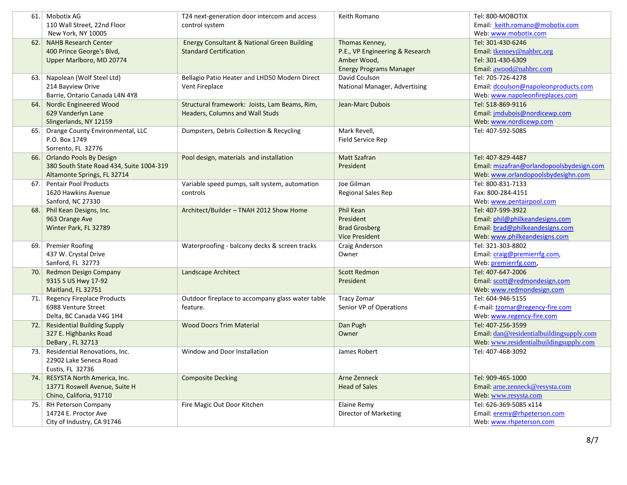| 61. | Mobotix AG                               | T24 next-generation door intercom and access           | Keith Romano                    | Tel: 800-MOBOTIX                         |
|-----|------------------------------------------|--------------------------------------------------------|---------------------------------|------------------------------------------|
|     | 110 Wall Street, 22nd Floor              | control system                                         |                                 | Email: keith.romano@mobotix.com          |
|     | New York, NY 10005                       |                                                        |                                 | Web: www.mobotix.com                     |
| 62. | <b>NAHB Research Center</b>              | <b>Energy Consultant &amp; National Green Building</b> | Thomas Kenney,                  | Tel: 301-430-6246                        |
|     | 400 Prince George's Blvd,                | <b>Standard Certification</b>                          | P.E., VP Engineering & Research | Email: tkenney@nahbrc.org                |
|     | Upper Marlboro, MD 20774                 |                                                        | Amber Wood,                     | Tel: 301-430-6309                        |
|     |                                          |                                                        | <b>Energy Programs Manager</b>  | Email: awood@nahbrc.com                  |
| 63. | Napolean (Wolf Steel Ltd)                | Bellagio Patio Heater and LHD50 Modern Direct          | David Coulson                   | Tel: 705-726-4278                        |
|     | 214 Bayview Drive                        | Vent Fireplace                                         | National Manager, Advertising   | Email: dcoulson@napoleonproducts.com     |
|     | Barrie, Ontario Canada L4N 4Y8           |                                                        |                                 | Web: www.napoleonfireplaces.com          |
| 64. | Nordic Engineered Wood                   | Structural framework: Joists, Lam Beams, Rim,          | Jean-Marc Dubois                | Tel: 518-869-9116                        |
|     | 629 Vanderlyn Lane                       | Headers, Columns and Wall Studs                        |                                 | Email: jmdubois@nordicewp.com            |
|     | Slingerlands, NY 12159                   |                                                        |                                 | Web: www.nordicewp.com                   |
| 65. | Orange County Environmental, LLC         | Dumpsters, Debris Collection & Recycling               | Mark Revell,                    | Tel: 407-592-5085                        |
|     | P.O. Box 1749                            |                                                        | Field Service Rep               |                                          |
|     | Sorrento, FL 32776                       |                                                        |                                 |                                          |
|     | 66. Orlando Pools By Design              | Pool design, materials and installation                | <b>Matt Szafran</b>             | Tel: 407-829-4487                        |
|     | 380 South State Road 434, Suite 1004-319 |                                                        | President                       | Email: mszafran@orlandopoolsbydesign.com |
|     | Altamonte Springs, FL 32714              |                                                        |                                 | Web: www.orlandopoolsbydesighn.com       |
| 67. | <b>Pentair Pool Products</b>             | Variable speed pumps, salt system, automation          | Joe Gilman                      | Tel: 800-831-7133                        |
|     | 1620 Hawkins Avenue                      | controls                                               | <b>Regional Sales Rep</b>       | Fax: 800-284-4151                        |
|     | Sanford, NC 27330                        |                                                        |                                 | Web: www.pentairpool.com                 |
| 68. | Phil Kean Designs, Inc.                  | Architect/Builder - TNAH 2012 Show Home                | Phil Kean                       | Tel: 407-599-3922                        |
|     | 963 Orange Ave                           |                                                        | President                       | Email: phil@philkeandesigns.com          |
|     | Winter Park, FL 32789                    |                                                        | <b>Brad Grosberg</b>            | Email: brad@philkeandesigns.com          |
|     |                                          |                                                        | <b>Vice President</b>           | Web: www.philkeandesigns.com             |
| 69. | <b>Premier Roofing</b>                   | Waterproofing - balcony decks & screen tracks          | Craig Anderson                  | Tel: 321-303-8802                        |
|     | 437 W. Crystal Drive                     |                                                        | Owner                           | Email: craig@premierrfg.com,             |
|     | Sanford, FL 32773                        |                                                        |                                 | Web: premierrfg.com,                     |
| 70. | <b>Redmon Design Company</b>             | Landscape Architect                                    | <b>Scott Redmon</b>             | Tel: 407-647-2006                        |
|     | 9315 S US Hwy 17-92                      |                                                        | President                       | Email: scott@redmondesign.com            |
|     | Maitland, FL 32751                       |                                                        |                                 | Web: www.redmondesign.com                |
| 71. | <b>Regency Fireplace Products</b>        | Outdoor fireplace to accompany glass water table       | <b>Tracy Zomar</b>              | Tel: 604-946-5155                        |
|     | 6988 Venture Street                      | feature.                                               | Senior VP of Operations         | E-mail: tzomar@regency-fire.com          |
|     | Delta, BC Canada V4G 1H4                 |                                                        |                                 | Web: www.regency-fire.com                |
| 72. | <b>Residential Building Supply</b>       | <b>Wood Doors Trim Material</b>                        | Dan Pugh                        | Tel: 407-256-3599                        |
|     | 327 E. Highbanks Road                    |                                                        | Owner                           | Email: dan@residentialbuildingsupply.com |
|     | DeBary, FL 32713                         |                                                        |                                 | Web: www.residentialbuildingsupply.com   |
| 73. | Residential Renovations, Inc.            | Window and Door Installation                           | James Robert                    | Tel: 407-468-3092                        |
|     | 22902 Lake Seneca Road                   |                                                        |                                 |                                          |
|     | Eustis, FL 32736                         |                                                        |                                 |                                          |
| 74. | RESYSTA North America, Inc.              | <b>Composite Decking</b>                               | Arne Zenneck                    | Tel: 909-465-1000                        |
|     | 13771 Roswell Avenue, Suite H            |                                                        | <b>Head of Sales</b>            | Email: arne.zenneck@resysta.com          |
|     | Chino, Califoria, 91710                  |                                                        |                                 | Web: www.resysta.com                     |
| 75. | RH Peterson Company                      | Fire Magic Out Door Kitchen                            | Elaine Remy                     | Tel: 626-369-5085 x114                   |
|     | 14724 E. Proctor Ave                     |                                                        | Director of Marketing           | Email: eremy@rhpeterson.com              |
|     | City of Industry, CA 91746               |                                                        |                                 | Web: www.rhpeterson.com                  |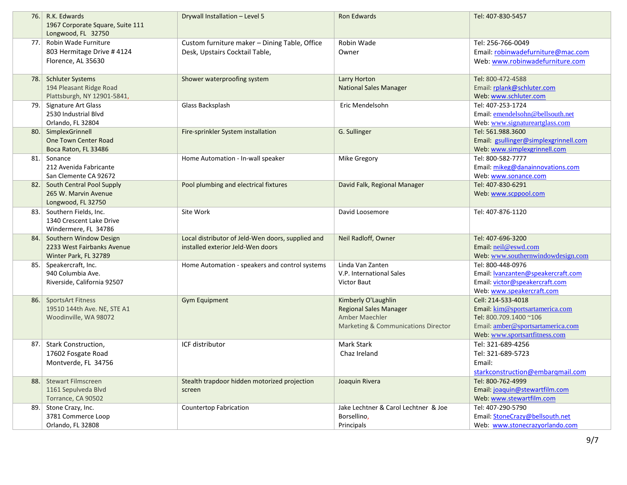|      | 76. R.K. Edwards<br>1967 Corporate Square, Suite 111<br>Longwood, FL 32750        | Drywall Installation - Level 5                                                         | Ron Edwards                                                                                                              | Tel: 407-830-5457                                                                                                                                    |
|------|-----------------------------------------------------------------------------------|----------------------------------------------------------------------------------------|--------------------------------------------------------------------------------------------------------------------------|------------------------------------------------------------------------------------------------------------------------------------------------------|
| 77.1 | Robin Wade Furniture<br>803 Hermitage Drive # 4124<br>Florence, AL 35630          | Custom furniture maker - Dining Table, Office<br>Desk, Upstairs Cocktail Table,        | Robin Wade<br>Owner                                                                                                      | Tel: 256-766-0049<br>Email: robinwadefurniture@mac.com<br>Web: www.robinwadefurniture.com                                                            |
| 78.  | <b>Schluter Systems</b><br>194 Pleasant Ridge Road<br>Plattsburgh, NY 12901-5841, | Shower waterproofing system                                                            | Larry Horton<br><b>National Sales Manager</b>                                                                            | Tel: 800-472-4588<br>Email: rplank@schluter.com<br>Web: www.schluter.com                                                                             |
| 79.  | Signature Art Glass<br>2530 Industrial Blvd<br>Orlando, FL 32804                  | Glass Backsplash                                                                       | Eric Mendelsohn                                                                                                          | Tel: 407-253-1724<br>Email: emendelsohn@bellsouth.net<br>Web: www.signatureartglass.com                                                              |
| 80.  | SimplexGrinnell<br>One Town Center Road<br>Boca Raton, FL 33486                   | Fire-sprinkler System installation                                                     | G. Sullinger                                                                                                             | Tel: 561.988.3600<br>Email: gsullinger@simplexgrinnell.com<br>Web: www.simplexgrinnell.com                                                           |
| 81.  | Sonance<br>212 Avenida Fabricante<br>San Clemente CA 92672                        | Home Automation - In-wall speaker                                                      | Mike Gregory                                                                                                             | Tel: 800-582-7777<br>Email: mikeg@danainnovations.com<br>Web: www.sonance.com                                                                        |
|      | 82. South Central Pool Supply<br>265 W. Marvin Avenue<br>Longwood, FL 32750       | Pool plumbing and electrical fixtures                                                  | David Falk, Regional Manager                                                                                             | Tel: 407-830-6291<br>Web: www.scppool.com                                                                                                            |
| 83.1 | Southern Fields, Inc.<br>1340 Crescent Lake Drive<br>Windermere, FL 34786         | Site Work                                                                              | David Loosemore                                                                                                          | Tel: 407-876-1120                                                                                                                                    |
|      | 84. Southern Window Design<br>2233 West Fairbanks Avenue<br>Winter Park, FL 32789 | Local distributor of Jeld-Wen doors, supplied and<br>installed exterior Jeld-Wen doors | Neil Radloff, Owner                                                                                                      | Tel: 407-696-3200<br>Email: neil@eswd.com<br>Web: www.southernwindowdesign.com                                                                       |
| 85.  | Speakercraft, Inc.<br>940 Columbia Ave.<br>Riverside, California 92507            | Home Automation - speakers and control systems                                         | Linda Van Zanten<br>V.P. International Sales<br>Victor Baut                                                              | Tel: 800-448-0976<br>Email: <b>Ivanzanten@speakercraft.com</b><br>Email: victor@speakercraft.com<br>Web: www.speakercraft.com                        |
| 86.  | <b>SportsArt Fitness</b><br>19510 144th Ave. NE, STE A1<br>Woodinville, WA 98072  | <b>Gym Equipment</b>                                                                   | Kimberly O'Laughlin<br><b>Regional Sales Manager</b><br>Amber Maechler<br><b>Marketing &amp; Communications Director</b> | Cell: 214-533-4018<br>Email: kim@sportsartamerica.com<br>Tel: 800.709.1400~106<br>Email: amber@sportsartamerica.com<br>Web: www.sportsartfitness.com |
| 87.  | Stark Construction,<br>17602 Fosgate Road<br>Montverde, FL 34756                  | ICF distributor                                                                        | Mark Stark<br>Chaz Ireland                                                                                               | Tel: 321-689-4256<br>Tel: 321-689-5723<br>Email:<br>starkconstruction@embarqmail.com                                                                 |
| 88.  | <b>Stewart Filmscreen</b><br>1161 Sepulveda Blvd<br>Torrance, CA 90502            | Stealth trapdoor hidden motorized projection<br>screen                                 | Joaquin Rivera                                                                                                           | Tel: 800-762-4999<br>Email: joaquin@stewartfilm.com<br>Web: www.stewartfilm.com                                                                      |
| 89.  | Stone Crazy, Inc.<br>3781 Commerce Loop<br>Orlando, FL 32808                      | <b>Countertop Fabrication</b>                                                          | Jake Lechtner & Carol Lechtner & Joe<br>Borsellino,<br>Principals                                                        | Tel: 407-290-5790<br>Email: StoneCrazy@bellsouth.net<br>Web: www.stonecrazyorlando.com                                                               |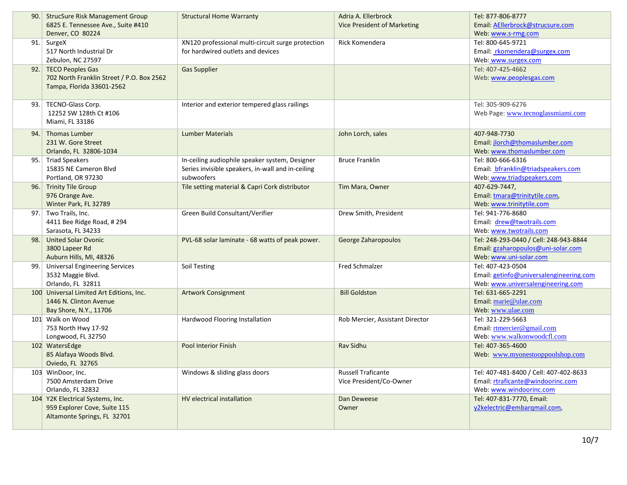| 90.1 | <b>StrucSure Risk Management Group</b>    | <b>Structural Home Warranty</b>                   | Adria A. Ellerbrock                | Tel: 877-806-8777                       |
|------|-------------------------------------------|---------------------------------------------------|------------------------------------|-----------------------------------------|
|      | 6825 E. Tennessee Ave., Suite #410        |                                                   | <b>Vice President of Marketing</b> | Email: AEllerbrock@strucsure.com        |
|      | Denver, CO 80224                          |                                                   |                                    | Web: www.s-rmg.com                      |
|      | 91. SurgeX                                | XN120 professional multi-circuit surge protection | Rick Komendera                     | Tel: 800-645-9721                       |
|      | 517 North Industrial Dr                   | for hardwired outlets and devices                 |                                    | Email: rkomendera@surgex.com            |
|      | Zebulon, NC 27597                         |                                                   |                                    | Web: www.surgex.com                     |
|      | 92. TECO Peoples Gas                      | <b>Gas Supplier</b>                               |                                    | Tel: 407-425-4662                       |
|      | 702 North Franklin Street / P.O. Box 2562 |                                                   |                                    | Web: www.peoplesgas.com                 |
|      | Tampa, Florida 33601-2562                 |                                                   |                                    |                                         |
|      |                                           |                                                   |                                    |                                         |
| 93.  | TECNO-Glass Corp.                         | Interior and exterior tempered glass railings     |                                    | Tel: 305-909-6276                       |
|      | 12252 SW 128th Ct #106                    |                                                   |                                    | Web Page: www.tecnoglassmiami.com       |
|      | Miami, FL 33186                           |                                                   |                                    |                                         |
| 94.1 | <b>Thomas Lumber</b>                      | <b>Lumber Materials</b>                           | John Lorch, sales                  | 407-948-7730                            |
|      | 231 W. Gore Street                        |                                                   |                                    | Email: jlorch@thomaslumber.com          |
|      | Orlando, FL 32806-1034                    |                                                   |                                    | Web: www.thomaslumber.com               |
|      | 95. Triad Speakers                        | In-ceiling audiophile speaker system, Designer    | <b>Bruce Franklin</b>              | Tel: 800-666-6316                       |
|      | 15835 NE Cameron Blvd                     | Series invisible speakers, in-wall and in-ceiling |                                    | Email: bfranklin@triadspeakers.com      |
|      | Portland, OR 97230                        | subwoofers                                        |                                    | Web: www.triadspeakers.com              |
|      | 96. Trinity Tile Group                    | Tile setting material & Capri Cork distributor    | Tim Mara, Owner                    | 407-629-7447,                           |
|      | 976 Orange Ave.                           |                                                   |                                    | Email: tmara@trinitytile.com,           |
|      | Winter Park, FL 32789                     |                                                   |                                    | Web: www.trinitytile.com                |
|      | 97. Two Trails, Inc.                      | Green Build Consultant/Verifier                   | Drew Smith, President              | Tel: 941-776-8680                       |
|      | 4411 Bee Ridge Road, # 294                |                                                   |                                    | Email: drew@twotrails.com               |
|      | Sarasota, FL 34233                        |                                                   |                                    | Web: www.twotrails.com                  |
| 98.  | <b>United Solar Ovonic</b>                | PVL-68 solar laminate - 68 watts of peak power.   | George Zaharopoulos                | Tel: 248-293-0440 / Cell: 248-943-8844  |
|      | 3800 Lapeer Rd                            |                                                   |                                    | Email: gzaharopoulos@uni-solar.com      |
|      | Auburn Hills, MI, 48326                   |                                                   |                                    | Web: www.uni-solar.com                  |
| 99.  | <b>Universal Engineering Services</b>     | Soil Testing                                      | <b>Fred Schmalzer</b>              | Tel: 407-423-0504                       |
|      | 3532 Maggie Blvd.                         |                                                   |                                    | Email: getinfo@universalengineering.com |
|      | Orlando, FL 32811                         |                                                   |                                    | Web: www.universalengineering.com       |
|      | 100 Universal Limited Art Editions, Inc.  | <b>Artwork Consignment</b>                        | <b>Bill Goldston</b>               | Tel: 631-665-2291                       |
|      | 1446 N. Clinton Avenue                    |                                                   |                                    | Email: marie@ulae.com                   |
|      | Bay Shore, N.Y., 11706                    |                                                   |                                    | Web: www.ulae.com                       |
|      | 101 Walk on Wood                          | Hardwood Flooring Installation                    | Rob Mercier, Assistant Director    | Tel: 321-229-5663                       |
|      | 753 North Hwy 17-92                       |                                                   |                                    | Email: rtmercier@gmail.com              |
|      | Longwood, FL 32750                        |                                                   |                                    | Web: www.walkonwoodcfl.com              |
|      | 102 WatersEdge                            | <b>Pool Interior Finish</b>                       | <b>Rav Sidhu</b>                   | Tel: 407-365-4600                       |
|      | 85 Alafaya Woods Blvd.                    |                                                   |                                    | Web: www.myonestooppoolshop.com         |
|      | Oviedo, FL 32765                          |                                                   |                                    |                                         |
|      | 103 WinDoor, Inc.                         | Windows & sliding glass doors                     | <b>Russell Traficante</b>          | Tel: 407-481-8400 / Cell: 407-402-8633  |
|      | 7500 Amsterdam Drive                      |                                                   | Vice President/Co-Owner            | Email: rtraficante@windoorinc.com       |
|      | Orlando, FL 32832                         |                                                   |                                    | Web: www.windoorinc.com                 |
|      | 104 Y2K Electrical Systems, Inc.          | HV electrical installation                        | Dan Deweese                        | Tel: 407-831-7770, Email:               |
|      | 959 Explorer Cove, Suite 115              |                                                   | Owner                              | y2kelectric@embargmail.com,             |
|      | Altamonte Springs, FL 32701               |                                                   |                                    |                                         |
|      |                                           |                                                   |                                    |                                         |